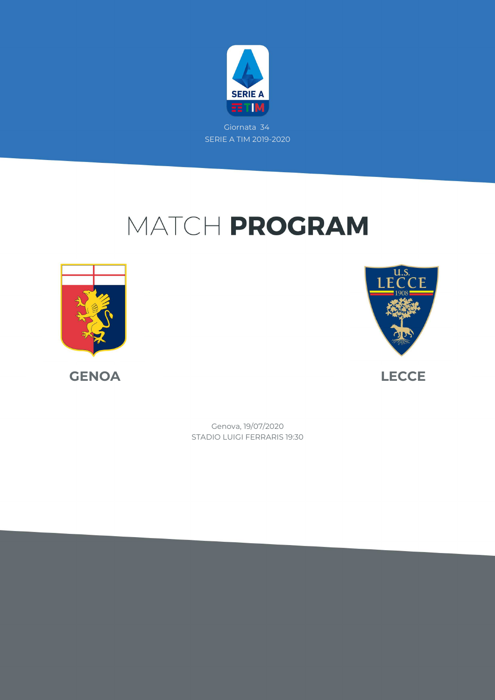

Giornata 34 SERIE A TIM 2019-2020

# MATCH PROGRAM





STADIO LUIGI FERRARIS 19:30 Genova, 19/07/2020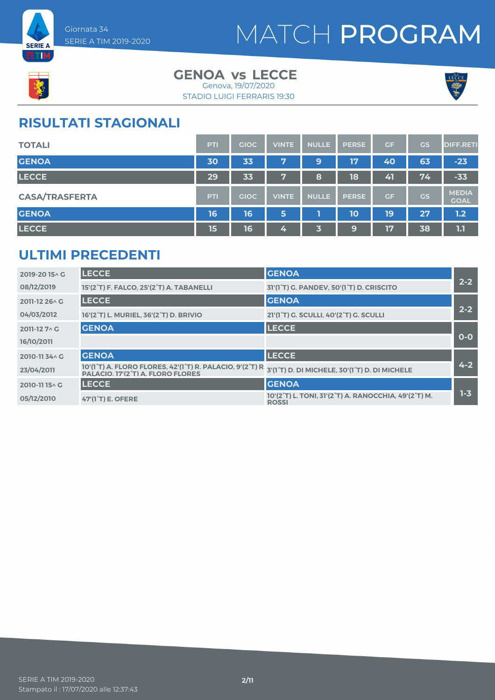



#### **GENOA LECCE vs** Genova, 19/07/2020

STADIO LUIGI FERRARIS 19:30



### **RISULTATI STAGIONALI**

| <b>TOTALI</b>         | <b>PTI</b> | <b>GIOC</b> | <b>VINTE</b> | <b>NULLE</b> | <b>PERSE</b> | GF | GS        | <b>DIFF.RETI</b>            |
|-----------------------|------------|-------------|--------------|--------------|--------------|----|-----------|-----------------------------|
| <b>GENOA</b>          | 30         | 33          | 7            | 9            | 17           | 40 | 63        | $-23$                       |
| <b>LECCE</b>          | 29         | 33          | V.           | 8            | 18           | 41 | 74        | $-33$                       |
| <b>CASA/TRASFERTA</b> | <b>PTI</b> | <b>GIOC</b> | <b>VINTE</b> | <b>NULLE</b> | <b>PERSE</b> | GF | <b>GS</b> | <b>MEDIA</b><br><b>GOAL</b> |
| <b>GENOA</b>          | 16         | 16          | 5            |              | 10           | 19 | 27        | 1.2                         |
| <b>LECCE</b>          | 15         | 16          | 4            | 3            | 9            | 17 | 38        | 1.1                         |

### **ULTIMI PRECEDENTI**

| 2019-2015^G    | <b>LECCE</b>                                                                                                                                       | <b>GENOA</b>                                                         |         |
|----------------|----------------------------------------------------------------------------------------------------------------------------------------------------|----------------------------------------------------------------------|---------|
| 08/12/2019     | 15'(2°T) F. FALCO, 25'(2°T) A. TABANELLI                                                                                                           | 31'(1 <sup>°</sup> T) G. PANDEV, 50'(1 <sup>°</sup> T) D. CRISCITO   | $2 - 2$ |
| 2011-12 26 \ G | <b>LECCE</b>                                                                                                                                       | <b>GENOA</b>                                                         |         |
| 04/03/2012     | 16'(2°T) L. MURIEL, 36'(2°T) D. BRIVIO                                                                                                             | 21'(1 <sup>°</sup> T) G. SCULLI, 40'(2 <sup>°</sup> T) G. SCULLI     | $2 - 2$ |
| 2011-12 7 \ G  | <b>GENOA</b>                                                                                                                                       | <b>LECCE</b>                                                         |         |
| 16/10/2011     |                                                                                                                                                    |                                                                      | $O-O$   |
| 2010-1134 G    | <b>GENOA</b>                                                                                                                                       | <b>LECCE</b>                                                         |         |
| 23/04/2011     | 10'(1 <sup>°</sup> T) A. FLORO FLORES, 42'(1 <sup>°</sup> T) R. PALACIO, 9'(2 <sup>°</sup> T) R.<br>PALACIO. 17'(2 <sup>°</sup> T) A. FLORO FLORES | 3'(1°T) D. DI MICHELE, 30'(1°T) D. DI MICHELE                        | $4 - 2$ |
| 2010-1115^C    | <b>LECCE</b>                                                                                                                                       | <b>GENOA</b>                                                         |         |
| 05/12/2010     | 47'(1 <sup>°</sup> T) E. OFERE                                                                                                                     | 10'(2°T) L. TONI, 31'(2°T) A. RANOCCHIA, 49'(2°T) M.<br><b>ROSSI</b> | $1 - 3$ |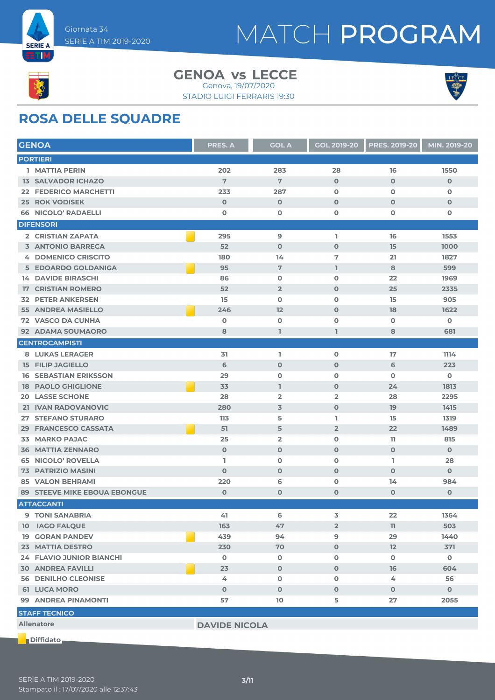



#### **GENOA LECCE vs** Genova, 19/07/2020

STADIO LUIGI FERRARIS 19:30

### **ROSA DELLE SQUADRE**

| <b>GENOA</b>                        | <b>PRES. A</b>       | <b>GOL A</b>   | <b>GOL 2019-20</b>      | <b>PRES. 2019-20</b> | MIN. 2019-20 |
|-------------------------------------|----------------------|----------------|-------------------------|----------------------|--------------|
| <b>PORTIERI</b>                     |                      |                |                         |                      |              |
| 1 MATTIA PERIN                      | 202                  | 283            | 28                      | 16                   | 1550         |
| <b>13 SALVADOR ICHAZO</b>           | 7                    | 7              | $\mathbf 0$             | $\mathbf{O}$         | $\mathbf 0$  |
| <b>FEDERICO MARCHETTI</b><br>22.    | 233                  | 287            | $\mathbf 0$             | O                    | $\mathbf 0$  |
| <b>25 ROK VODISEK</b>               | $\mathbf 0$          | $\mathbf 0$    | $\mathbf 0$             | $\mathbf 0$          | $\mathbf 0$  |
| <b>66 NICOLO' RADAELLI</b>          | $\mathbf o$          | O              | O                       | O                    | 0            |
| <b>DIFENSORI</b>                    |                      |                |                         |                      |              |
| 2 CRISTIAN ZAPATA                   | 295                  | $\mathbf{9}$   | I.                      | 16                   | 1553         |
| <b>3 ANTONIO BARRECA</b>            | 52                   | $\mathbf 0$    | $\mathbf 0$             | 15                   | 1000         |
| <b>4 DOMENICO CRISCITO</b>          | 180                  | 14             | 7                       | 21                   | 1827         |
| 5 EDOARDO GOLDANIGA                 | 95                   | $\overline{7}$ | $\mathbf{1}$            | 8                    | 599          |
| <b>14 DAVIDE BIRASCHI</b>           | 86                   | $\mathbf 0$    | 0                       | 22                   | 1969         |
| <b>CRISTIAN ROMERO</b><br>17        | 52                   | $\overline{2}$ | $\mathbf 0$             | 25                   | 2335         |
| <b>PETER ANKERSEN</b><br>32         | 15                   | $\mathbf 0$    | $\mathbf 0$             | 15                   | 905          |
| 55 ANDREA MASIELLO                  | 246                  | 12             | $\mathbf 0$             | 18                   | 1622         |
| <b>72 VASCO DA CUNHA</b>            | $\mathbf 0$          | $\mathbf 0$    | $\mathbf 0$             | $\mathbf o$          | 0            |
| 92 ADAMA SOUMAORO                   | 8                    | L              | $\mathbf{1}$            | 8                    | 681          |
| <b>CENTROCAMPISTI</b>               |                      |                |                         |                      |              |
| <b>8 LUKAS LERAGER</b>              | 31                   | L.             | $\mathbf 0$             | 17                   | 1114         |
| <b>15 FILIP JAGIELLO</b>            | 6                    | $\mathbf 0$    | $\mathbf 0$             | 6                    | 223          |
| <b>16 SEBASTIAN ERIKSSON</b>        | 29                   | $\mathbf 0$    | O                       | $\mathbf 0$          | $\mathbf 0$  |
| <b>PAOLO GHIGLIONE</b><br>18        | 33                   | $\mathbf{I}$   | $\mathbf 0$             | 24                   | 1813         |
| <b>LASSE SCHONE</b><br>20           | 28                   | $\overline{2}$ | $\overline{\mathbf{2}}$ | 28                   | 2295         |
| 21 IVAN RADOVANOVIC                 | 280                  | 3              | $\mathbf 0$             | 19                   | 1415         |
| <b>STEFANO STURARO</b><br>27        | 113                  | 5              | ı                       | 15                   | 1319         |
| <b>FRANCESCO CASSATA</b><br>29      | 51                   | 5              | $\overline{2}$          | 22                   | 1489         |
| <b>MARKO PAJAC</b><br>33            | 25                   | $\overline{2}$ | $\mathbf 0$             | 11                   | 815          |
| <b>36 MATTIA ZENNARO</b>            | $\mathbf 0$          | $\mathbf 0$    | $\mathbf 0$             | $\mathbf 0$          | $\mathbf{O}$ |
| <b>NICOLO' ROVELLA</b><br>65        | L                    | $\mathbf 0$    | O                       | L.                   | 28           |
| <b>PATRIZIO MASINI</b><br>73        | $\mathbf 0$          | $\mathbf 0$    | $\mathbf 0$             | $\mathbf 0$          | $\mathbf{O}$ |
| <b>VALON BEHRAMI</b><br>85          | 220                  | 6              | $\mathbf 0$             | 14                   | 984          |
| <b>89 STEEVE MIKE EBOUA EBONGUE</b> | $\mathbf 0$          | $\mathbf 0$    | $\mathbf 0$             | $\mathbf{O}$         | $\mathbf 0$  |
| <b>ATTACCANTI</b>                   |                      |                |                         |                      |              |
| 9 TONI SANABRIA                     | 41                   | 6              | 3                       | 22                   | 1364         |
| 10 IAGO FALQUE                      | 163                  | 47             | $\overline{2}$          | 11                   | 503          |
| <b>19 GORAN PANDEV</b>              | 439                  | 94             | 9                       | 29                   | 1440         |
| 23 MATTIA DESTRO                    | 230                  | 70             | $\mathbf 0$             | 12                   | 371          |
| 24 FLAVIO JUNIOR BIANCHI            | $\mathbf 0$          | $\mathbf 0$    | 0                       | 0                    | $\mathbf 0$  |
| <b>30 ANDREA FAVILLI</b>            | 23                   | $\mathbf 0$    | $\mathbf 0$             | 16                   | 604          |
| <b>56 DENILHO CLEONISE</b>          | 4                    | $\mathbf 0$    | $\mathbf 0$             | 4                    | 56           |
| <b>61 LUCA MORO</b>                 | $\mathbf 0$          | $\mathbf 0$    | $\mathbf{O}$            | $\mathbf 0$          | $\mathbf{0}$ |
| 99 ANDREA PINAMONTI                 | 57                   | 10             | 5                       | 27                   | 2055         |
| <b>STAFF TECNICO</b>                |                      |                |                         |                      |              |
| <b>Allenatore</b>                   | <b>DAVIDE NICOLA</b> |                |                         |                      |              |
|                                     |                      |                |                         |                      |              |

**Diffidato**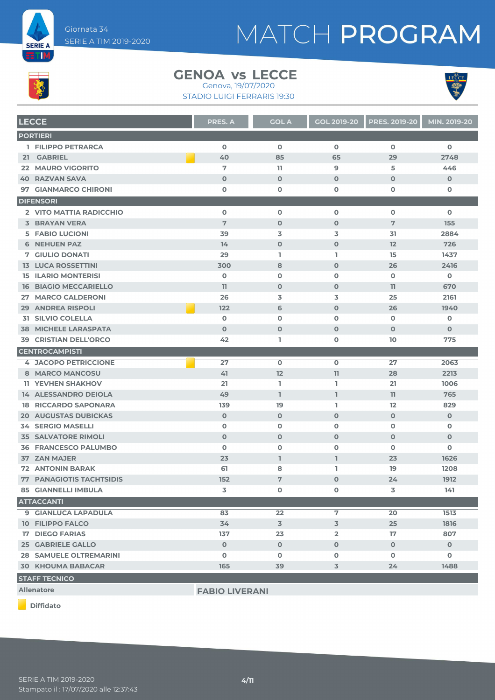



#### **GENOA LECCE vs**

STADIO LUIGI FERRARIS 19:30 Genova, 19/07/2020





| <b>LECCE</b>                    | <b>PRES. A</b>        | <b>GOL A</b>   | <b>GOL 2019-20</b> | <b>PRES. 2019-20</b> | MIN. 2019-20   |
|---------------------------------|-----------------------|----------------|--------------------|----------------------|----------------|
| <b>PORTIERI</b>                 |                       |                |                    |                      |                |
| 1 FILIPPO PETRARCA              | $\mathbf 0$           | $\mathbf 0$    | $\mathbf 0$        | $\mathbf 0$          | $\mathbf 0$    |
| 21 GABRIEL                      | 40                    | 85             | 65                 | 29                   | 2748           |
| <b>22 MAURO VIGORITO</b>        | 7                     | 11             | $\overline{9}$     | 5                    | 446            |
| <b>RAZVAN SAVA</b><br>40        | $\mathbf{O}$          | $\mathbf 0$    | $\mathbf 0$        | $\mathbf 0$          | $\mathbf 0$    |
| 97 GIANMARCO CHIRONI            | $\mathbf o$           | $\mathbf 0$    | $\mathbf 0$        | $\mathbf 0$          | 0              |
| <b>DIFENSORI</b>                |                       |                |                    |                      |                |
| 2 VITO MATTIA RADICCHIO         | $\mathbf 0$           | $\mathbf 0$    | $\mathbf 0$        | $\mathbf 0$          | $\mathbf 0$    |
| <b>3 BRAYAN VERA</b>            | 7                     | $\mathbf 0$    | $\mathbf 0$        | 7                    | 155            |
| <b>5 FABIO LUCIONI</b>          | 39                    | 3              | 3                  | 31                   | 2884           |
| <b>6 NEHUEN PAZ</b>             | 14                    | $\mathbf 0$    | $\mathbf 0$        | 12                   | 726            |
| 7 GIULIO DONATI                 | 29                    | I.             | L                  | 15                   | 1437           |
| <b>13 LUCA ROSSETTINI</b>       | 300                   | 8              | $\mathbf 0$        | 26                   | 2416           |
| <b>15 ILARIO MONTERISI</b>      | $\mathbf 0$           | $\mathbf 0$    | $\mathbf 0$        | $\mathbf 0$          | $\mathbf 0$    |
| <b>16 BIAGIO MECCARIELLO</b>    | 11                    | $\mathbf 0$    | $\mathbf 0$        | 11                   | 670            |
| 27 MARCO CALDERONI              | 26                    | 3              | 3                  | 25                   | 2161           |
| <b>29 ANDREA RISPOLI</b>        | 122                   | 6              | $\mathbf 0$        | 26                   | 1940           |
| <b>31 SILVIO COLELLA</b>        | $\mathbf 0$           | $\mathbf 0$    | $\mathbf 0$        | $\mathbf 0$          | $\mathbf 0$    |
| <b>38 MICHELE LARASPATA</b>     | $\Omega$              | $\mathbf 0$    | $\mathbf 0$        | $\mathbf 0$          | $\mathbf 0$    |
| <b>39 CRISTIAN DELL'ORCO</b>    | 42                    | L              | $\mathbf 0$        | 10                   | 775            |
| <b>CENTROCAMPISTI</b>           |                       |                |                    |                      |                |
| <b>4 JACOPO PETRICCIONE</b>     | 27                    | $\mathbf 0$    | $\mathbf 0$        | 27                   | 2063           |
| 8 MARCO MANCOSU                 | 41                    | 12             | 11                 | 28                   | 2213           |
| <b>11 YEVHEN SHAKHOV</b>        | 21                    | L.             | L                  | 21                   | 1006           |
| 14 ALESSANDRO DEIOLA            | 49                    | $\mathbf{I}$   | L                  | 11                   | 765            |
| <b>18 RICCARDO SAPONARA</b>     | 139                   | 19             | L.                 | 12                   | 829            |
| <b>20 AUGUSTAS DUBICKAS</b>     | $\mathbf 0$           | $\mathbf 0$    | $\mathbf 0$        | $\mathbf 0$          | $\mathbf 0$    |
| <b>34 SERGIO MASELLI</b>        | $\mathbf 0$           | $\mathbf 0$    | $\mathbf 0$        | $\mathbf 0$          | 0              |
| <b>35 SALVATORE RIMOLI</b>      | $\mathbf 0$           | $\mathbf 0$    | $\mathbf 0$        | $\mathbf 0$          | $\mathbf 0$    |
| <b>36 FRANCESCO PALUMBO</b>     | $\mathbf 0$           | $\mathbf 0$    | $\mathbf 0$        | $\mathbf 0$          | 0              |
| 37 ZAN MAJER                    | 23                    | $\mathbf{I}$   | $\mathbf{I}$       | 23                   | 1626           |
| <b>72 ANTONIN BARAK</b>         | 61                    | 8              | L                  | 19                   | 1208           |
| <b>77 PANAGIOTIS TACHTSIDIS</b> | 152                   | 7              | $\mathbf 0$        | 24                   | 1912           |
| <b>85 GIANNELLI IMBULA</b>      | 3                     | $\mathbf 0$    | $\mathbf 0$        | 3                    | 141            |
| <b>ATTACCANTI</b>               |                       |                |                    |                      |                |
| 9 GIANLUCA LAPADULA             | 83                    | 22             | 7                  | 20                   | 1513           |
| <b>10 FILIPPO FALCO</b>         | 34                    | $\overline{3}$ | 3                  | 25                   | 1816           |
| <b>17 DIEGO FARIAS</b>          | 137                   | 23             | $\overline{2}$     | 17                   | 807            |
| <b>25 GABRIELE GALLO</b>        | $\mathbf{O}$          | $\mathbf 0$    | $\mathbf{O}$       | $\mathbf{O}$         | $\overline{0}$ |
| <b>28 SAMUELE OLTREMARINI</b>   | 0                     | $\mathbf 0$    | 0                  | $\mathbf 0$          | 0              |
| <b>30 KHOUMA BABACAR</b>        | 165                   | 39             | 3                  | 24                   | 1488           |
| <b>STAFF TECNICO</b>            |                       |                |                    |                      |                |
| <b>Allenatore</b>               | <b>FABIO LIVERANI</b> |                |                    |                      |                |

**Diffidato**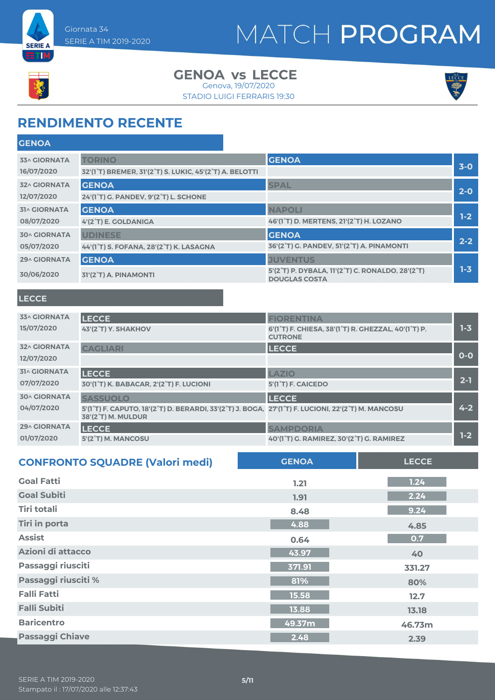

#### Giornata 34 SERIE A TIM 2019-2020

## MATCH PROGRAM

**GENOA**

#### **GENOA LECCE vs** Genova, 19/07/2020

STADIO LUIGI FERRARIS 19:30



### **RENDIMENTO RECENTE**

| ULIVUA                            |                                                                                                                 |                                                                     |         |
|-----------------------------------|-----------------------------------------------------------------------------------------------------------------|---------------------------------------------------------------------|---------|
| <b>33^ GIORNATA</b><br>16/07/2020 | <b>TORINO</b><br>32'(1 <sup>°</sup> T) BREMER, 31'(2 <sup>°</sup> T) S. LUKIC, 45'(2 <sup>°</sup> T) A. BELOTTI | <b>GENOA</b>                                                        | $3-0$   |
| <b>32^ GIORNATA</b><br>12/07/2020 | <b>GENOA</b><br>24'(1°T) G. PANDEV, 9'(2°T) L. SCHONE                                                           | <b>SPAL</b>                                                         | $2-0$   |
| <b>31^ GIORNATA</b>               | <b>GENOA</b>                                                                                                    | <b>NAPOLI</b>                                                       | $1-2$   |
| 08/07/2020<br><b>30^ GIORNATA</b> | 4'(2°T) E. GOLDANIGA<br><b>UDINESE</b>                                                                          | 46'(1°T) D. MERTENS, 21'(2°T) H. LOZANO<br><b>GENOA</b>             |         |
| 05/07/2020                        | 44'(1°T) S. FOFANA, 28'(2°T) K. LASAGNA                                                                         | 36'(2°T) G. PANDEV, 51'(2°T) A. PINAMONTI                           | $2 - 2$ |
| <b>29^ GIORNATA</b>               | <b>GENOA</b>                                                                                                    | <b>JUVENTUS</b><br>5'(2°T) P. DYBALA, 11'(2°T) C. RONALDO, 28'(2°T) | $1 - 3$ |
| 30/06/2020                        | 31'(2°T) A. PINAMONTI                                                                                           | <b>DOUGLAS COSTA</b>                                                |         |

#### **LECCE**

| <b>33^ GIORNATA</b> | <b>LECCE</b>                                                                                                             | <b>FIORENTINA</b>                                                                                            |         |
|---------------------|--------------------------------------------------------------------------------------------------------------------------|--------------------------------------------------------------------------------------------------------------|---------|
| 15/07/2020          | 43'(2°T) Y. SHAKHOV                                                                                                      | 6'(1 <sup>°</sup> T) F. CHIESA, 38'(1 <sup>°</sup> T) R. GHEZZAL, 40'(1 <sup>°</sup> T) P.<br><b>CUTRONE</b> | $1 - 3$ |
| <b>32^ GIORNATA</b> | <b>CAGLIARI</b>                                                                                                          | <b>LECCE</b>                                                                                                 |         |
| 12/07/2020          |                                                                                                                          |                                                                                                              | $O-O$   |
| <b>31^ GIORNATA</b> | <b>LECCE</b>                                                                                                             | LAZIO                                                                                                        |         |
| 07/07/2020          | 30'(1°T) K. BABACAR, 2'(2°T) F. LUCIONI                                                                                  | 5'(1 <sup>°</sup> T) F. CAICEDO                                                                              | $2 - 1$ |
| <b>30^ GIORNATA</b> | <b>SASSUOLO</b>                                                                                                          | <b>LECCE</b>                                                                                                 |         |
| 04/07/2020          | 5'(1°T) F. CAPUTO, 18'(2°T) D. BERARDI, 33'(2°T) J. BOGA, 27'(1°T) F. LUCIONI, 22'(2°T) M. MANCOSU<br>38'(2°T) M. MULDUR |                                                                                                              | $4 - 2$ |
| <b>29^ GIORNATA</b> | <b>LECCE</b>                                                                                                             | <b>SAMPDORIA</b>                                                                                             |         |
| 01/07/2020          | 5'(2°T) M. MANCOSU                                                                                                       | 40'(1°T) G. RAMIREZ, 30'(2°T) G. RAMIREZ                                                                     | $1-2$   |

| <b>CONFRONTO SQUADRE (Valori medi)</b> | <b>GENOA</b> | <b>LECCE</b> |
|----------------------------------------|--------------|--------------|
| <b>Goal Fatti</b>                      | 1.21         | 1.24         |
| <b>Goal Subiti</b>                     | 1.91         | 2.24         |
| Tiri totali                            | 8.48         | 9.24         |
| <b>Tiri in porta</b>                   | 4.88         | 4.85         |
| <b>Assist</b>                          | 0.64         | 0.7          |
| Azioni di attacco                      | 43.97        | 40           |
| Passaggi riusciti                      | 371.91       | 331.27       |
| Passaggi riusciti %                    | 81%          | 80%          |
| <b>Falli Fatti</b>                     | 15.58        | 12.7         |
| <b>Falli Subiti</b>                    | 13.88        | 13.18        |
| <b>Baricentro</b>                      | 49.37m       | 46.73m       |
| <b>Passaggi Chiave</b>                 | 2.48         | 2.39         |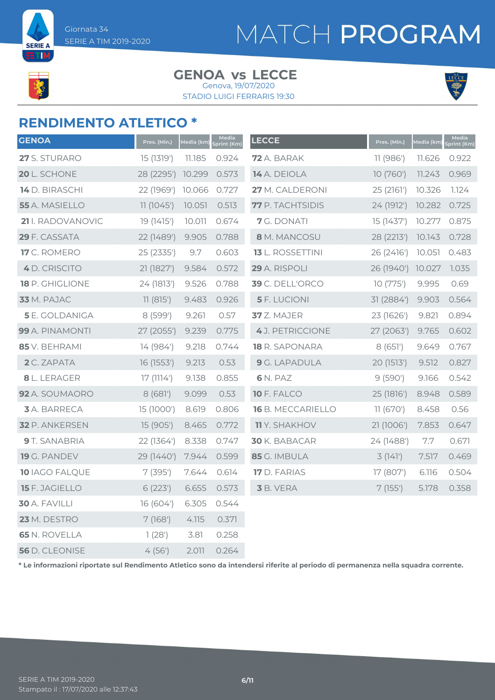**SERIE A** ETIM

# MATCH PROGRAM

#### **GENOA LECCE vs** Genova, 19/07/2020

STADIO LUIGI FERRARIS 19:30



### **RENDIMENTO ATLETICO \***

| <b>GENOA</b>          | Pres. (Min.) | Media (km) | Media<br>Sprint (Km) | <b>LECCE</b>            | Pres. (Min.) | Media (km) | Media<br><b>Sprint (Km)</b> |
|-----------------------|--------------|------------|----------------------|-------------------------|--------------|------------|-----------------------------|
| 27 S. STURARO         | 15 (1319')   | 11.185     | 0.924                | 72 A. BARAK             | 11(986)      | 11.626     | 0.922                       |
| 20 L. SCHONE          | 28 (2295')   | 10.299     | 0.573                | 14 A. DEIOLA            | 10 (760')    | 11.243     | 0.969                       |
| 14 D. BIRASCHI        | 22 (1969')   | 10.066     | 0.727                | 27 M. CALDERONI         | 25 (2161')   | 10.326     | 7.124                       |
| 55 A. MASIELLO        | 11(1045)     | 10.051     | 0.513                | 77 P. TACHTSIDIS        | 24 (1912')   | 10.282     | 0.725                       |
| 21 I. RADOVANOVIC     | 19 (1415')   | 10.011     | 0.674                | 7 G. DONATI             | 15 (1437')   | 10.277     | 0.875                       |
| 29 F. CASSATA         | 22 (1489')   | 9.905      | 0.788                | 8 M. MANCOSU            | 28 (2213')   | 10.143     | 0.728                       |
| 17 C. ROMERO          | 25(2335)     | 9.7        | 0.603                | <b>13</b> L. ROSSETTINI | 26(2416)     | 10.051     | 0.483                       |
| 4 D. CRISCITO         | 21 (1827')   | 9.584      | 0.572                | 29 A. RISPOLI           | 26 (1940')   | 10.027     | 1.035                       |
| 18 P. GHIGLIONE       | 24 (1813')   | 9.526      | 0.788                | 39 C. DELL'ORCO         | 10(775)      | 9.995      | 0.69                        |
| 33 M. PAJAC           | 11(815)      | 9.483      | 0.926                | <b>5</b> F. LUCIONI     | 31 (2884')   | 9.903      | 0.564                       |
| <b>5</b> E. GOLDANIGA | 8 (599')     | 9.261      | 0.57                 | 37 Z. MAJER             | 23 (1626')   | 9.821      | 0.894                       |
| 99 A. PINAMONTI       | 27 (2055')   | 9.239      | 0.775                | 4 J. PETRICCIONE        | 27 (2063')   | 9.765      | 0.602                       |
| 85 V. BEHRAMI         | 14 (984')    | 9.218      | 0.744                | <b>18</b> R. SAPONARA   | 8(651)       | 9.649      | 0.767                       |
| 2 C. ZAPATA           | 16 (1553')   | 9.213      | 0.53                 | 9 G. LAPADULA           | 20 (1513')   | 9.512      | 0.827                       |
| 8 L. LERAGER          | 17(1114)     | 9.138      | 0.855                | 6 N. PAZ                | 9(590)       | 9.166      | 0.542                       |
| 92 A. SOUMAORO        | 8(681)       | 9.099      | 0.53                 | 10 F. FALCO             | 25 (1816')   | 8.948      | 0.589                       |
| <b>3</b> A. BARRECA   | 15 (1000')   | 8.619      | 0.806                | 16 B. MECCARIELLO       | 11(670)      | 8.458      | 0.56                        |
| 32 P. ANKERSEN        | 15 (905')    | 8.465      | 0.772                | <b>11</b> Y. SHAKHOV    | 21 (1006')   | 7.853      | 0.647                       |
| 9 T. SANABRIA         | 22 (1364')   | 8.338      | 0.747                | 30 K. BABACAR           | 24 (1488')   | 7.7        | 0.671                       |
| 19 G. PANDEV          | 29 (1440')   | 7.944      | 0.599                | 85 G. IMBULA            | 3(141)       | 7.517      | 0.469                       |
| 10 IAGO FALQUE        | 7(395)       | 7.644      | 0.614                | 17 D. FARIAS            | 17 (807')    | 6.116      | 0.504                       |
| 15 F. JAGIELLO        | 6(223)       | 6.655      | 0.573                | 3 B. VERA               | 7(155)       | 5.178      | 0.358                       |
| 30 A. FAVILLI         | 16 (604')    | 6.305      | 0.544                |                         |              |            |                             |
| 23 M. DESTRO          | 7(168)       | 4.115      | 0.371                |                         |              |            |                             |
| <b>65 N. ROVELLA</b>  | 1(28)        | 3.81       | 0.258                |                         |              |            |                             |
| 56 D. CLEONISE        | 4(56)        | 2.011      | 0.264                |                         |              |            |                             |

**\* Le informazioni riportate sul Rendimento Atletico sono da intendersi riferite al periodo di permanenza nella squadra corrente.**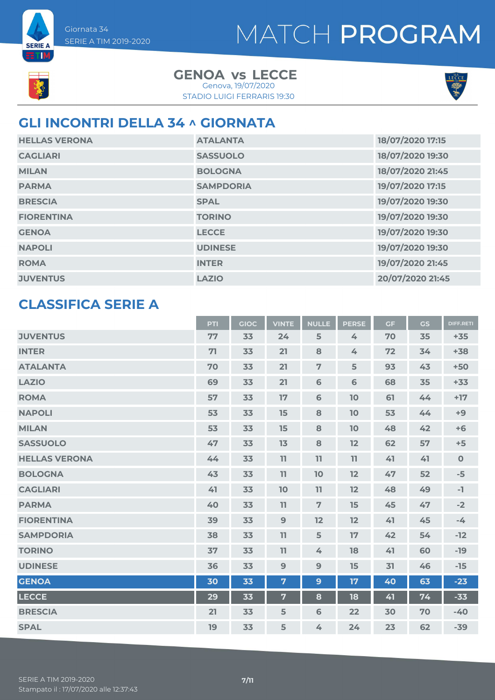

**SERIE A** ETIM

> **GENOA LECCE vs** STADIO LUIGI FERRARIS 19:30 Genova, 19/07/2020



### **GLI INCONTRI DELLA 34 ^ GIORNATA**

| <b>HELLAS VERONA</b> | <b>ATALANTA</b>  | 18/07/2020 17:15 |
|----------------------|------------------|------------------|
| <b>CAGLIARI</b>      | <b>SASSUOLO</b>  | 18/07/2020 19:30 |
| <b>MILAN</b>         | <b>BOLOGNA</b>   | 18/07/2020 21:45 |
| <b>PARMA</b>         | <b>SAMPDORIA</b> | 19/07/2020 17:15 |
| <b>BRESCIA</b>       | <b>SPAL</b>      | 19/07/2020 19:30 |
| <b>FIORENTINA</b>    | <b>TORINO</b>    | 19/07/2020 19:30 |
| <b>GENOA</b>         | <b>LECCE</b>     | 19/07/2020 19:30 |
| <b>NAPOLI</b>        | <b>UDINESE</b>   | 19/07/2020 19:30 |
| <b>ROMA</b>          | <b>INTER</b>     | 19/07/2020 21:45 |
| <b>JUVENTUS</b>      | <b>LAZIO</b>     | 20/07/2020 21:45 |

### **CLASSIFICA SERIE A**

|                      | PTI | <b>GIOC</b> | <b>VINTE</b>   | <b>NULLE</b>   | <b>PERSE</b> | <b>GF</b> | <b>GS</b> | <b>DIFF.RETI</b> |
|----------------------|-----|-------------|----------------|----------------|--------------|-----------|-----------|------------------|
| <b>JUVENTUS</b>      | 77  | 33          | 24             | 5              | 4            | 70        | 35        | $+35$            |
| <b>INTER</b>         | 71  | 33          | 21             | 8              | 4            | 72        | 34        | $+38$            |
| <b>ATALANTA</b>      | 70  | 33          | 21             | $\overline{7}$ | 5            | 93        | 43        | $+50$            |
| <b>LAZIO</b>         | 69  | 33          | 21             | 6              | 6            | 68        | 35        | $+33$            |
| <b>ROMA</b>          | 57  | 33          | 17             | $\mathbf 6$    | 10           | 61        | 44        | $+17$            |
| <b>NAPOLI</b>        | 53  | 33          | 15             | 8              | 10           | 53        | 44        | $+9$             |
| <b>MILAN</b>         | 53  | 33          | 15             | 8              | 10           | 48        | 42        | $+6$             |
| <b>SASSUOLO</b>      | 47  | 33          | 13             | 8              | 12           | 62        | 57        | $+5$             |
| <b>HELLAS VERONA</b> | 44  | 33          | 11             | 11             | 11           | 41        | 41        | $\mathbf 0$      |
| <b>BOLOGNA</b>       | 43  | 33          | 11             | 10             | 12           | 47        | 52        | $-5$             |
| <b>CAGLIARI</b>      | 41  | 33          | 10             | 11             | 12           | 48        | 49        | -1               |
| <b>PARMA</b>         | 40  | 33          | 11             | $\overline{7}$ | 15           | 45        | 47        | $-2$             |
| <b>FIORENTINA</b>    | 39  | 33          | 9              | 12             | 12           | 41        | 45        | $-4$             |
| <b>SAMPDORIA</b>     | 38  | 33          | 11             | 5              | 17           | 42        | 54        | $-12$            |
| <b>TORINO</b>        | 37  | 33          | 11             | 4              | 18           | 41        | 60        | $-19$            |
| <b>UDINESE</b>       | 36  | 33          | 9              | $9$            | 15           | 31        | 46        | $-15$            |
| <b>GENOA</b>         | 30  | 33          | $\overline{7}$ | $\mathbf{9}$   | 17           | 40        | 63        | $-23$            |
| <b>LECCE</b>         | 29  | 33          | $\overline{7}$ | 8              | 18           | 41        | 74        | $-33$            |
| <b>BRESCIA</b>       | 21  | 33          | 5              | 6              | 22           | 30        | 70        | $-40$            |
| <b>SPAL</b>          | 19  | 33          | 5              | 4              | 24           | 23        | 62        | $-39$            |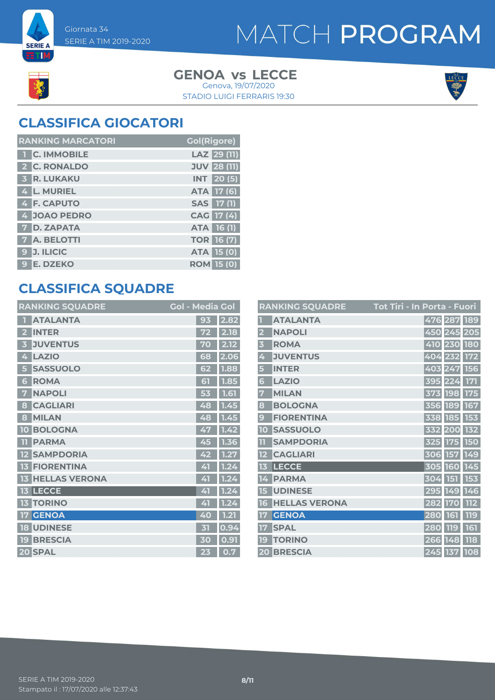

**SERIE A ETM** 

> **GENOA LECCE vs** STADIO LUIGI FERRARIS 19:30 Genova, 19/07/2020



### **CLASSIFICA GIOCATORI**

| <b>RANKING MARCATORI</b> | <b>Gol(Rigore)</b> |
|--------------------------|--------------------|
| 1 C. IMMOBILE            | LAZ 29 (11)        |
| 2 C. RONALDO             | <b>JUV 28 (11)</b> |
| <b>3 R. LUKAKU</b>       | <b>INT</b> 20(5)   |
| 4 L. MURIEL              | ATA 17 (6)         |
| 4 F. CAPUTO              | SAS 17 (1)         |
| 4 JOAO PEDRO             | CAG 17 (4)         |
| <b>7 D. ZAPATA</b>       | ATA 16 (1)         |
| <b>7 A. BELOTTI</b>      | <b>TOR 16 (7)</b>  |
| 9 J. ILICIC              | <b>ATA 15 (0)</b>  |
| 9 E. DZEKO               | <b>ROM 15 (0)</b>  |

### **CLASSIFICA SQUADRE**

| <b>RANKING SQUADRE</b>     | <b>Gol - Media Gol</b> |          |
|----------------------------|------------------------|----------|
| <b>ATALANTA</b>            | 93                     | 2.82     |
| <b>INTER</b>               |                        | 2.18     |
| <b>JUVENTUS</b><br>В       | 70                     | 2.12     |
| <b>LAZIO</b><br>4          | 68                     | 2.06     |
| <b>SASSUOLO</b><br>5       | 62                     | 1.88     |
| <b>ROMA</b><br>6           | 61                     | 7.85     |
| <b>NAPOLI</b><br>7         | 53                     | 1.61     |
| <b>CAGLIARI</b><br>8       | 48                     | 1.45     |
| <b>MILAN</b><br>8          | 48                     | 1.45     |
| <b>BOLOGNA</b><br>10       | 47                     | 1.42     |
| <b>PARMA</b><br>m          | 45                     | 1.36     |
| <b>SAMPDORIA</b>           | 42                     | 1.27     |
| <b>FIORENTINA</b><br>13    | 41                     | 1.24     |
| <b>HELLAS VERONA</b><br>13 | 41                     | 1.24     |
| <b>13 LECCE</b>            | 41                     | 1.2<br>4 |
| <b>TORINO</b><br>13        | 41                     | 1.24     |
| <b>GENOA</b>               | 40                     | 1.21     |
| <b>UDINESE</b><br>18       | 才                      | 0.94     |
| <b>BRESCIA</b><br>19       | 30                     | 0.91     |
| 20 SPAL                    | 23                     | 0.7      |

|                         | <b>RANKING SQUADRE</b> | <u> Tot Tiri - In Porta - Fuori</u> |
|-------------------------|------------------------|-------------------------------------|
|                         | <b>ATALANTA</b>        | 476 287 189                         |
| $\overline{\mathbf{2}}$ | <b>NAPOLI</b>          | 450 245 205                         |
| $\overline{\mathbf{3}}$ | <b>ROMA</b>            | 410 230 180                         |
| 4                       | <b>JUVENTUS</b>        | 404 232 172                         |
| 5                       | <b>INTER</b>           | 403 247 156                         |
| 6                       | <b>LAZIO</b>           | 395 224 171                         |
| 7                       | <b>MILAN</b>           | 373 198 175                         |
| 8                       | <b>BOLOGNA</b>         | 356 189 167                         |
| 9                       | <b>FIORENTINA</b>      | 338 185 153                         |
| 10                      | <b>SASSUOLO</b>        | 332 200 132                         |
| $\overline{\mathbf{1}}$ | <b>SAMPDORIA</b>       | 325 175 150                         |
|                         | <b>CAGLIARI</b>        | 306 157 149                         |
| 13                      | <b>LECCE</b>           | 305 160 145                         |
| 14                      | <b>PARMA</b>           | 304 151 153                         |
| 15                      | <b>UDINESE</b>         | 295 149 146                         |
| 16                      | <b>HELLAS VERONA</b>   | 112<br>282 170                      |
| 17                      | <b>GENOA</b>           | 119<br>280 161                      |
| 17                      | <b>SPAL</b>            | 161<br>280 119                      |
| 19                      | <b>TORINO</b>          | <b>118</b><br>266 148               |
|                         | <b>20 BRESCIA</b>      | 245 137 108                         |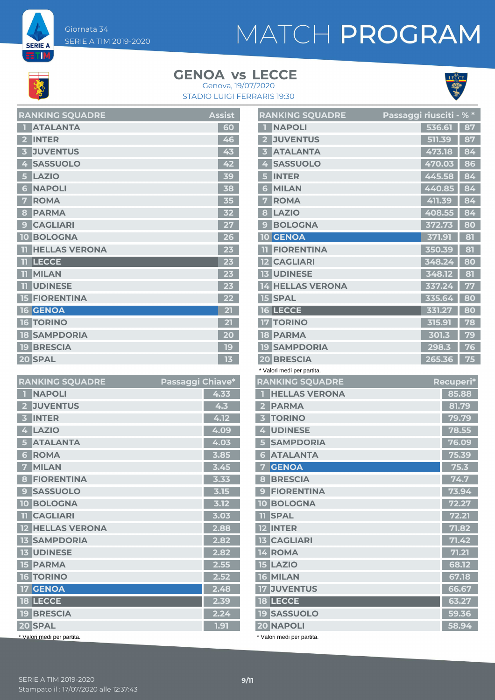

**SERIE A** ETIM,

### **GENOA LECCE vs**





| <b>RANKING SQUADRE</b>    | <b>Assist</b> |
|---------------------------|---------------|
| <b>ATALANTA</b>           | 60            |
| <b>INTER</b>              | 46            |
| <b>JUVENTUS</b><br>3      | 43            |
| <b>SASSUOLO</b><br>4      | 42            |
| <b>LAZIO</b><br>5         | 39            |
| <b>NAPOLI</b><br>6        | 38            |
| <b>ROMA</b><br>7          | 35            |
| <b>PARMA</b><br>8         | 32            |
| <b>CAGLIARI</b><br>9      | 27            |
| <b>10 BOLOGNA</b>         | 26            |
| <b>HELLAS VERONA</b><br>m | 23            |
| <b>LECCE</b><br>m         | 23            |
| <b>MILAN</b><br>m         | 23            |
| <b>UDINESE</b><br>11      | 23            |
| <b>15 FIORENTINA</b>      | 22            |
| 16 GENOA                  | 21            |
| <b>16 TORINO</b>          | 21            |
| <b>18 SAMPDORIA</b>       | 20            |
| <b>19 BRESCIA</b>         | 19            |
| 20 SPAL                   | 13            |

| <b>RANKING SQUADRE</b>             | Passaggi Chiave* |      |
|------------------------------------|------------------|------|
| <b>NAPOLI</b>                      |                  | 4.33 |
| <b>JUVENTUS</b>                    |                  | 4.3  |
| <b>INTER</b>                       |                  | 4.12 |
| <b>LAZIO</b><br>4                  |                  | 4.09 |
| <b>ATALANTA</b>                    |                  | 4.03 |
| <b>ROMA</b><br>6                   |                  | 3.85 |
| <b>MILAN</b><br>7                  |                  | 3.45 |
| <b>FIORENTINA</b><br>8             |                  | 3.33 |
| <b>SASSUOLO</b><br>$\mathbf{C}$    |                  | 3.15 |
| <b>BOLOGNA</b><br>10 <sup>10</sup> |                  | 3.12 |
| <b>TT</b> CAGLIARI                 |                  | 3.03 |
| <b>HELLAS VERONA</b>               |                  | 2.88 |
| <b>SAMPDORIA</b>                   |                  | 2.82 |
| <b>UDINESE</b><br>13 <sup>1</sup>  |                  | 2.82 |
| <b>15 PARMA</b>                    |                  | 2.55 |
| <b>16 TORINO</b>                   |                  | 2.52 |
| <b>17 GENOA</b>                    |                  | 2.48 |
| 18 LECCE                           |                  | 2.39 |
| <b>19 BRESCIA</b>                  |                  | 2.24 |
| 20 SPAL                            |                  | 1.91 |
| * Valori medi per partita.         |                  |      |

|                | <b>RANKING SQUADRE</b>                  | Passaggi riusciti - % * |        |           |
|----------------|-----------------------------------------|-------------------------|--------|-----------|
|                | <b>NAPOLI</b>                           |                         | 536.61 | 87        |
| 2              | <b>JUVENTUS</b>                         |                         | 511.39 | 87        |
| 3              | <b>ATALANTA</b>                         |                         | 473.18 | 84        |
| 4              | <b>SASSUOLO</b>                         |                         | 470.03 | 86        |
| 5              | <b>INTER</b>                            |                         | 445.58 | 84        |
| 6              | <b>MILAN</b>                            |                         | 440.85 | 84        |
| 7              | <b>ROMA</b>                             |                         | 411.39 | 84        |
| 8              | <b>LAZIO</b>                            |                         | 408.55 | 84        |
| 9              | <b>BOLOGNA</b>                          |                         | 372.73 | 80        |
|                | <b>10 GENOA</b>                         |                         | 371.91 | 81        |
| ш.             | <b>FIORENTINA</b>                       |                         | 350.39 | 81        |
|                | <b>12 CAGLIARI</b>                      |                         | 348.24 | 80        |
|                | <b>13 UDINESE</b>                       |                         | 348.12 | 81        |
|                | <b>14 HELLAS VERONA</b>                 |                         | 337.24 | 77        |
|                | <b>15 SPAL</b>                          |                         | 335.64 | 80        |
|                | <b>16 LECCE</b>                         |                         | 331.27 | 80        |
|                | <b>17 TORINO</b>                        |                         | 315.91 | 78        |
|                | <b>18 PARMA</b>                         |                         | 301.3  | 79        |
|                | <b>19 SAMPDORIA</b>                     |                         | 298.3  | 76        |
|                | <b>20 BRESCIA</b>                       |                         | 265.36 | 75        |
|                | * Valori medi per partita.              |                         |        |           |
|                | <b>RANKING SQUADRE</b>                  |                         |        | Recuperi* |
| П              | <b>HELLAS VERONA</b>                    |                         |        | 85.88     |
|                | 2 PARMA                                 |                         |        | 81.79     |
| 3 <sup>7</sup> | <b>TORINO</b>                           |                         |        | 79.79     |
|                | 4 UDINESE                               |                         |        | 78.55     |
| 5 <sup>1</sup> | <b>SAMPDORIA</b>                        |                         |        | 76.09     |
|                | <b>6 ATALANTA</b>                       |                         |        | 75.39     |
|                | <b>7 GENOA</b>                          |                         |        | 75.3      |
|                | 8 BRESCIA                               |                         |        | 74.7      |
|                |                                         |                         |        | 73.94     |
|                | <b>9 FIORENTINA</b>                     |                         |        |           |
|                | <b>10 BOLOGNA</b>                       |                         |        | 72.27     |
|                | <b>11 SPAL</b>                          |                         |        | 72.21     |
|                | <b>12 INTER</b>                         |                         |        | 71.82     |
|                | <b>13 CAGLIARI</b>                      |                         |        | 71.42     |
|                | 14 ROMA                                 |                         |        | 71.21     |
|                | <b>15 LAZIO</b>                         |                         |        | 68.12     |
|                | <b>16 MILAN</b>                         |                         |        | 67.18     |
|                | <b>17 JUVENTUS</b>                      |                         |        | 66.67     |
|                | <b>18 LECCE</b>                         |                         |        | 63.27     |
|                | <b>19 SASSUOLO</b>                      |                         |        | 59.36     |
|                | 20 NAPOLI<br>* Valori medi per partita. |                         |        | 58.94     |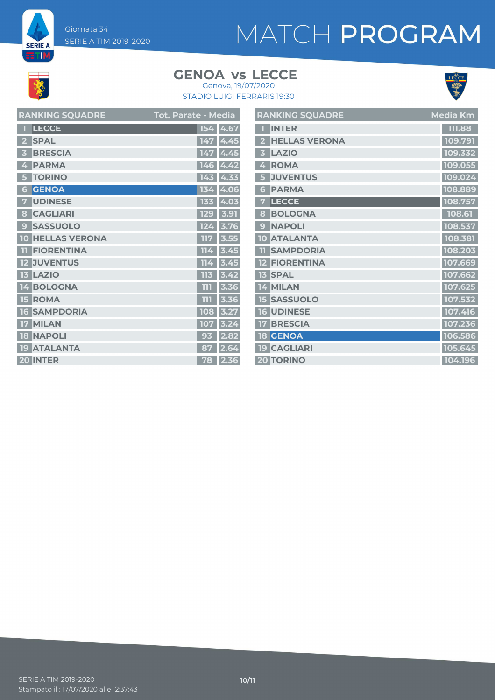Giornata 34 SERIE A TIM 2019-2020

# MATCH PROGRAM

# **K**

**SERIE A ETM** 

### **GENOA LECCE vs**



STADIO LUIGI FERRARIS 19:30 Genova, 19/07/2020

| <b>RANKING SQUADRE</b>  | <b>Tot. Parate - Media</b> | <b>RANKING SQUADRE</b>           | <b>Media Km</b> |
|-------------------------|----------------------------|----------------------------------|-----------------|
| 1 LECCE                 | 154 4.67                   | <b>TINTER</b>                    | 111.88          |
| 2 SPAL                  | 147 4.45                   | 2 HELLAS VERONA                  | 109.791         |
| <b>3 BRESCIA</b>        | 147 4.45                   | LAZIO<br>$\overline{\mathbf{3}}$ | 109.332         |
| 4 PARMA                 | 146 4.42                   | 4 ROMA                           | 109.055         |
| <b>5 TORINO</b>         | $143$ 4.33                 | 5 JUVENTUS                       | 109.024         |
| <b>6 GENOA</b>          | 134 4.06                   | 6 PARMA                          | 108.889         |
| 7 UDINESE               | 133 4.03                   | 7 LECCE                          | 108.757         |
| 8 CAGLIARI              | 129 3.91                   | 8 BOLOGNA                        | 108.61          |
| <b>9 SASSUOLO</b>       | 124 3.76                   | 9 NAPOLI                         | 108.537         |
| <b>10 HELLAS VERONA</b> | 117 3.55                   | 10 ATALANTA                      | 108.381         |
| <b>TI FIORENTINA</b>    | $114$ 3.45                 | <b>11 SAMPDORIA</b>              | 108.203         |
| <b>12 JUVENTUS</b>      | $114$ 3.45                 | <b>12 FIORENTINA</b>             | 107.669         |
| <b>13 LAZIO</b>         | $113$ 3.42                 | <b>13 SPAL</b>                   | 107.662         |
| 14 BOLOGNA              | $111$ 3.36                 | 14 MILAN                         | 107.625         |
| <b>15 ROMA</b>          | $111$ 3.36                 | <b>15 SASSUOLO</b>               | 107.532         |
| <b>16 SAMPDORIA</b>     | 108 3.27                   | 16 UDINESE                       | 107.416         |
| 17 MILAN                | 107 3.24                   | <b>17 BRESCIA</b>                | 107.236         |
| <b>18 NAPOLI</b>        | $93$ 2.82                  | <b>18 GENOA</b>                  | 106.586         |
| <b>19 ATALANTA</b>      | 87 2.64                    | <b>19 CAGLIARI</b>               | 105.645         |
| 20 INTER                | 78 2.36                    | <b>20 TORINO</b>                 | 104.196         |